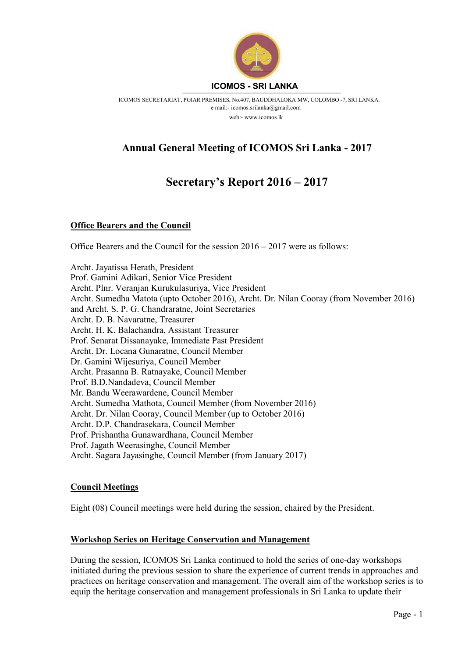

ICOMOS SECRETARIAT, PGIAR PREMISES, No.407, BAUDDHALOKA MW, COLOMBO -7, SRI LANKA. e mail:- icomos.srilanka@gmail.com web:- www.icomos.lk

# Annual General Meeting of ICOMOS Sri Lanka - 2017

# Secretary's Report 2016 – 2017

#### Office Bearers and the Council

Office Bearers and the Council for the session 2016 – 2017 were as follows:

Archt. Jayatissa Herath, President Prof. Gamini Adikari, Senior Vice President Archt. Plnr. Veranjan Kurukulasuriya, Vice President Archt. Sumedha Matota (upto October 2016), Archt. Dr. Nilan Cooray (from November 2016) and Archt. S. P. G. Chandraratne, Joint Secretaries Archt. D. B. Navaratne, Treasurer Archt. H. K. Balachandra, Assistant Treasurer Prof. Senarat Dissanayake, Immediate Past President Archt. Dr. Locana Gunaratne, Council Member Dr. Gamini Wijesuriya, Council Member Archt. Prasanna B. Ratnayake, Council Member Prof. B.D.Nandadeva, Council Member Mr. Bandu Weerawardene, Council Member Archt. Sumedha Mathota, Council Member (from November 2016) Archt. Dr. Nilan Cooray, Council Member (up to October 2016) Archt. D.P. Chandrasekara, Council Member Prof. Prishantha Gunawardhana, Council Member Prof. Jagath Weerasinghe, Council Member Archt. Sagara Jayasinghe, Council Member (from January 2017)

#### Council Meetings

Eight (08) Council meetings were held during the session, chaired by the President.

#### Workshop Series on Heritage Conservation and Management

During the session, ICOMOS Sri Lanka continued to hold the series of one-day workshops initiated during the previous session to share the experience of current trends in approaches and practices on heritage conservation and management. The overall aim of the workshop series is to equip the heritage conservation and management professionals in Sri Lanka to update their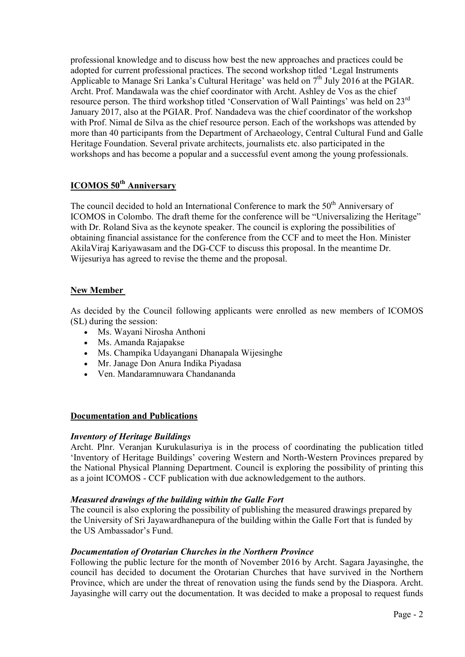professional knowledge and to discuss how best the new approaches and practices could be adopted for current professional practices. The second workshop titled 'Legal Instruments Applicable to Manage Sri Lanka's Cultural Heritage' was held on  $7<sup>th</sup>$  July 2016 at the PGIAR. Archt. Prof. Mandawala was the chief coordinator with Archt. Ashley de Vos as the chief resource person. The third workshop titled 'Conservation of Wall Paintings' was held on 23<sup>rd</sup> January 2017, also at the PGIAR. Prof. Nandadeva was the chief coordinator of the workshop with Prof. Nimal de Silva as the chief resource person. Each of the workshops was attended by more than 40 participants from the Department of Archaeology, Central Cultural Fund and Galle Heritage Foundation. Several private architects, journalists etc. also participated in the workshops and has become a popular and a successful event among the young professionals.

# ICOMOS 50<sup>th</sup> Anniversary

The council decided to hold an International Conference to mark the  $50<sup>th</sup>$  Anniversary of ICOMOS in Colombo. The draft theme for the conference will be "Universalizing the Heritage" with Dr. Roland Siva as the keynote speaker. The council is exploring the possibilities of obtaining financial assistance for the conference from the CCF and to meet the Hon. Minister AkilaViraj Kariyawasam and the DG-CCF to discuss this proposal. In the meantime Dr. Wijesuriya has agreed to revise the theme and the proposal.

# New Member

As decided by the Council following applicants were enrolled as new members of ICOMOS (SL) during the session:

- Ms. Wayani Nirosha Anthoni
- Ms. Amanda Rajapakse
- Ms. Champika Udayangani Dhanapala Wijesinghe
- Mr. Janage Don Anura Indika Piyadasa
- Ven. Mandaramnuwara Chandananda

#### Documentation and Publications

#### Inventory of Heritage Buildings

Archt. Plnr. Veranjan Kurukulasuriya is in the process of coordinating the publication titled 'Inventory of Heritage Buildings' covering Western and North-Western Provinces prepared by the National Physical Planning Department. Council is exploring the possibility of printing this as a joint ICOMOS - CCF publication with due acknowledgement to the authors.

#### Measured drawings of the building within the Galle Fort

The council is also exploring the possibility of publishing the measured drawings prepared by the University of Sri Jayawardhanepura of the building within the Galle Fort that is funded by the US Ambassador's Fund.

#### Documentation of Orotarian Churches in the Northern Province

Following the public lecture for the month of November 2016 by Archt. Sagara Jayasinghe, the council has decided to document the Orotarian Churches that have survived in the Northern Province, which are under the threat of renovation using the funds send by the Diaspora. Archt. Jayasinghe will carry out the documentation. It was decided to make a proposal to request funds